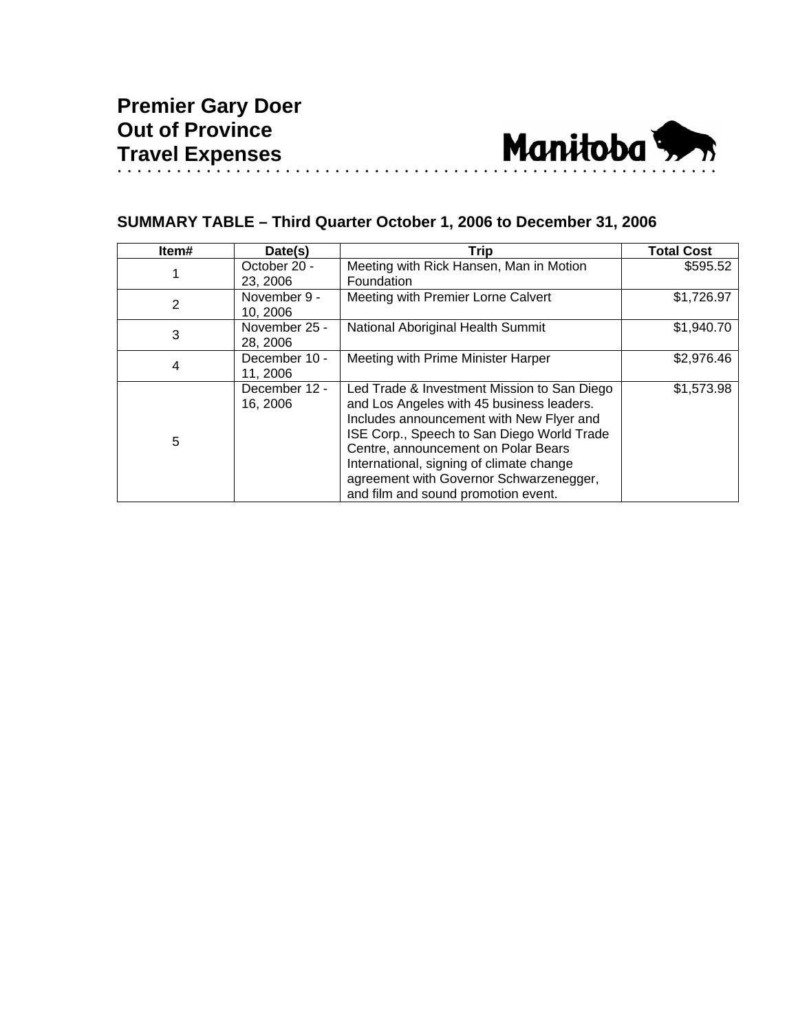

## **SUMMARY TABLE – Third Quarter October 1, 2006 to December 31, 2006**

| Item# | Date(s)                   | <b>Trip</b>                                                                                                                                                                                                                                                                                                                                             | <b>Total Cost</b> |
|-------|---------------------------|---------------------------------------------------------------------------------------------------------------------------------------------------------------------------------------------------------------------------------------------------------------------------------------------------------------------------------------------------------|-------------------|
|       | October 20 -<br>23, 2006  | Meeting with Rick Hansen, Man in Motion<br>Foundation                                                                                                                                                                                                                                                                                                   | \$595.52          |
| 2     | November 9 -<br>10, 2006  | Meeting with Premier Lorne Calvert                                                                                                                                                                                                                                                                                                                      | \$1,726.97        |
| 3     | November 25 -<br>28, 2006 | National Aboriginal Health Summit                                                                                                                                                                                                                                                                                                                       | \$1,940.70        |
| 4     | December 10 -<br>11, 2006 | Meeting with Prime Minister Harper                                                                                                                                                                                                                                                                                                                      | \$2,976.46        |
| 5     | December 12 -<br>16, 2006 | Led Trade & Investment Mission to San Diego<br>and Los Angeles with 45 business leaders.<br>Includes announcement with New Flyer and<br>ISE Corp., Speech to San Diego World Trade<br>Centre, announcement on Polar Bears<br>International, signing of climate change<br>agreement with Governor Schwarzenegger,<br>and film and sound promotion event. | \$1,573.98        |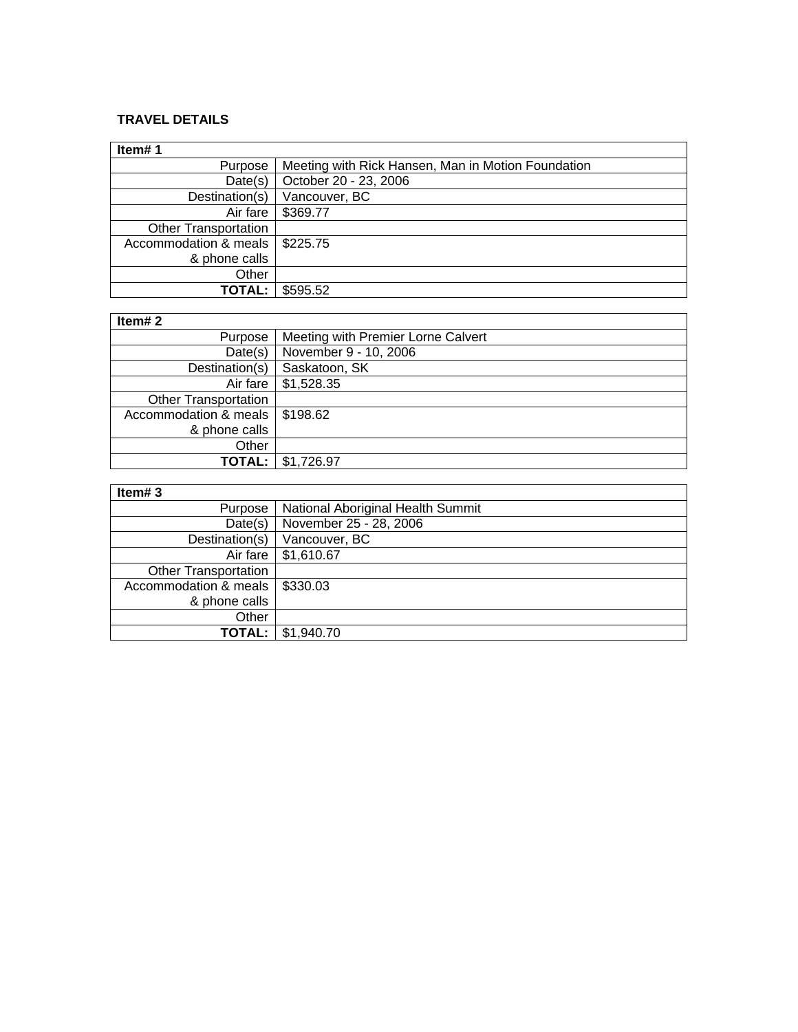## **TRAVEL DETAILS**

| Item#1                           |                                                    |
|----------------------------------|----------------------------------------------------|
| Purpose                          | Meeting with Rick Hansen, Man in Motion Foundation |
| Date(s)                          | October 20 - 23, 2006                              |
| Destination(s)                   | Vancouver, BC                                      |
| Air fare                         | \$369.77                                           |
| <b>Other Transportation</b>      |                                                    |
| Accommodation & meals   \$225.75 |                                                    |
| & phone calls                    |                                                    |
| Other                            |                                                    |
| <b>TOTAL:</b>                    | \$595.52                                           |

## **Item# 2**

| Item# $2$                   |                                    |  |
|-----------------------------|------------------------------------|--|
| Purpose                     | Meeting with Premier Lorne Calvert |  |
| Date(s)                     | November 9 - 10, 2006              |  |
| Destination(s)              | Saskatoon, SK                      |  |
| Air fare                    | \$1,528.35                         |  |
| <b>Other Transportation</b> |                                    |  |
| Accommodation & meals       | \$198.62                           |  |
| & phone calls               |                                    |  |
| Other                       |                                    |  |
| <b>TOTAL:</b>               | \$1,726.97                         |  |

## **Item# 3**

| $\overline{\mathbf{R}}$     |                                   |
|-----------------------------|-----------------------------------|
| Purpose                     | National Aboriginal Health Summit |
| Date(s)                     | November 25 - 28, 2006            |
| Destination(s)              | Vancouver, BC                     |
| Air fare                    | \$1,610.67                        |
| <b>Other Transportation</b> |                                   |
| Accommodation & meals       | \$330.03                          |
| & phone calls               |                                   |
| Other                       |                                   |
| <b>TOTAL:</b>               | \$1,940.70                        |

 $\overline{1}$